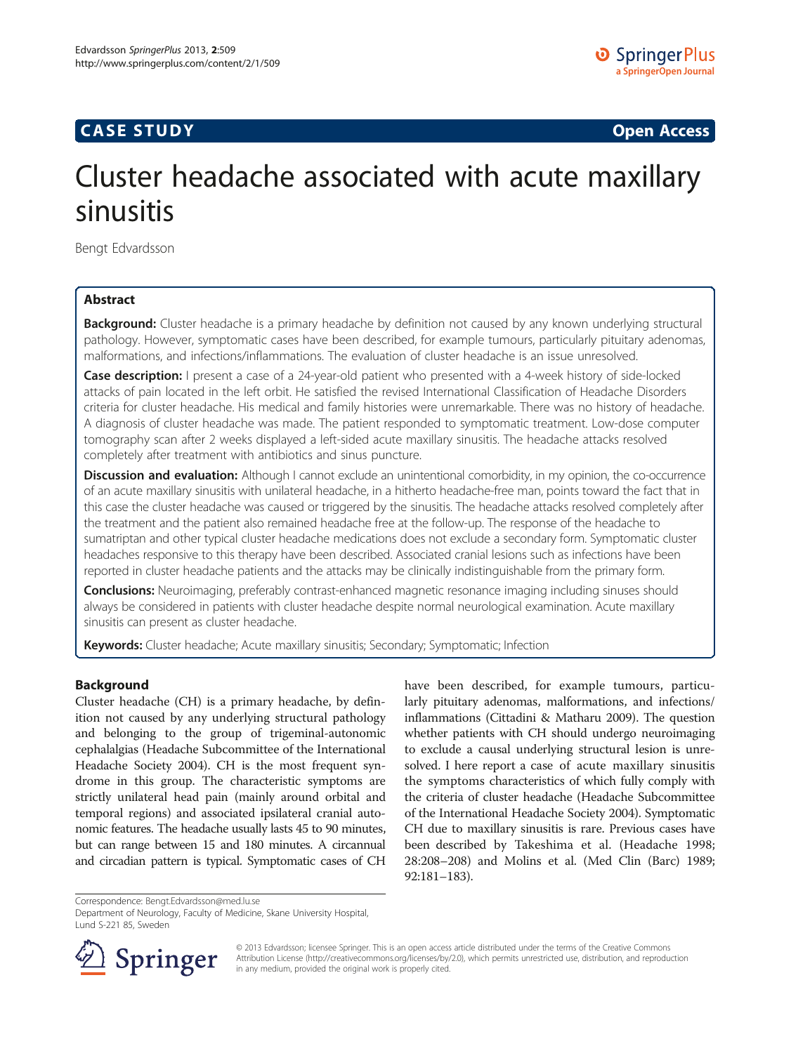# **CASE STUDY CASE STUDY Open Access**

O Springer Plus **a SpringerOpen Journal**

# Cluster headache associated with acute maxillary sinusitis

Bengt Edvardsson

# Abstract

Background: Cluster headache is a primary headache by definition not caused by any known underlying structural pathology. However, symptomatic cases have been described, for example tumours, particularly pituitary adenomas, malformations, and infections/inflammations. The evaluation of cluster headache is an issue unresolved.

**Case description:** I present a case of a 24-year-old patient who presented with a 4-week history of side-locked attacks of pain located in the left orbit. He satisfied the revised International Classification of Headache Disorders criteria for cluster headache. His medical and family histories were unremarkable. There was no history of headache. A diagnosis of cluster headache was made. The patient responded to symptomatic treatment. Low-dose computer tomography scan after 2 weeks displayed a left-sided acute maxillary sinusitis. The headache attacks resolved completely after treatment with antibiotics and sinus puncture.

Discussion and evaluation: Although I cannot exclude an unintentional comorbidity, in my opinion, the co-occurrence of an acute maxillary sinusitis with unilateral headache, in a hitherto headache-free man, points toward the fact that in this case the cluster headache was caused or triggered by the sinusitis. The headache attacks resolved completely after the treatment and the patient also remained headache free at the follow-up. The response of the headache to sumatriptan and other typical cluster headache medications does not exclude a secondary form. Symptomatic cluster headaches responsive to this therapy have been described. Associated cranial lesions such as infections have been reported in cluster headache patients and the attacks may be clinically indistinguishable from the primary form.

**Conclusions:** Neuroimaging, preferably contrast-enhanced magnetic resonance imaging including sinuses should always be considered in patients with cluster headache despite normal neurological examination. Acute maxillary sinusitis can present as cluster headache.

Keywords: Cluster headache; Acute maxillary sinusitis; Secondary; Symptomatic; Infection

## Background

Cluster headache (CH) is a primary headache, by definition not caused by any underlying structural pathology and belonging to the group of trigeminal-autonomic cephalalgias (Headache Subcommittee of the International Headache Society [2004](#page-3-0)). CH is the most frequent syndrome in this group. The characteristic symptoms are strictly unilateral head pain (mainly around orbital and temporal regions) and associated ipsilateral cranial autonomic features. The headache usually lasts 45 to 90 minutes, but can range between 15 and 180 minutes. A circannual and circadian pattern is typical. Symptomatic cases of CH have been described, for example tumours, particularly pituitary adenomas, malformations, and infections/ inflammations (Cittadini & Matharu [2009\)](#page-3-0). The question whether patients with CH should undergo neuroimaging to exclude a causal underlying structural lesion is unresolved. I here report a case of acute maxillary sinusitis the symptoms characteristics of which fully comply with the criteria of cluster headache (Headache Subcommittee of the International Headache Society [2004\)](#page-3-0). Symptomatic CH due to maxillary sinusitis is rare. Previous cases have been described by Takeshima et al. (Headache 1998; 28:208–208) and Molins et al. (Med Clin (Barc) 1989; 92:181–183).

Correspondence: [Bengt.Edvardsson@med.lu.se](mailto:Bengt.Edvardsson@med.lu.se)

Department of Neurology, Faculty of Medicine, Skane University Hospital, Lund S-221 85, Sweden



© 2013 Edvardsson; licensee Springer. This is an open access article distributed under the terms of the Creative Commons Attribution License [\(http://creativecommons.org/licenses/by/2.0\)](http://creativecommons.org/licenses/by/2.0), which permits unrestricted use, distribution, and reproduction in any medium, provided the original work is properly cited.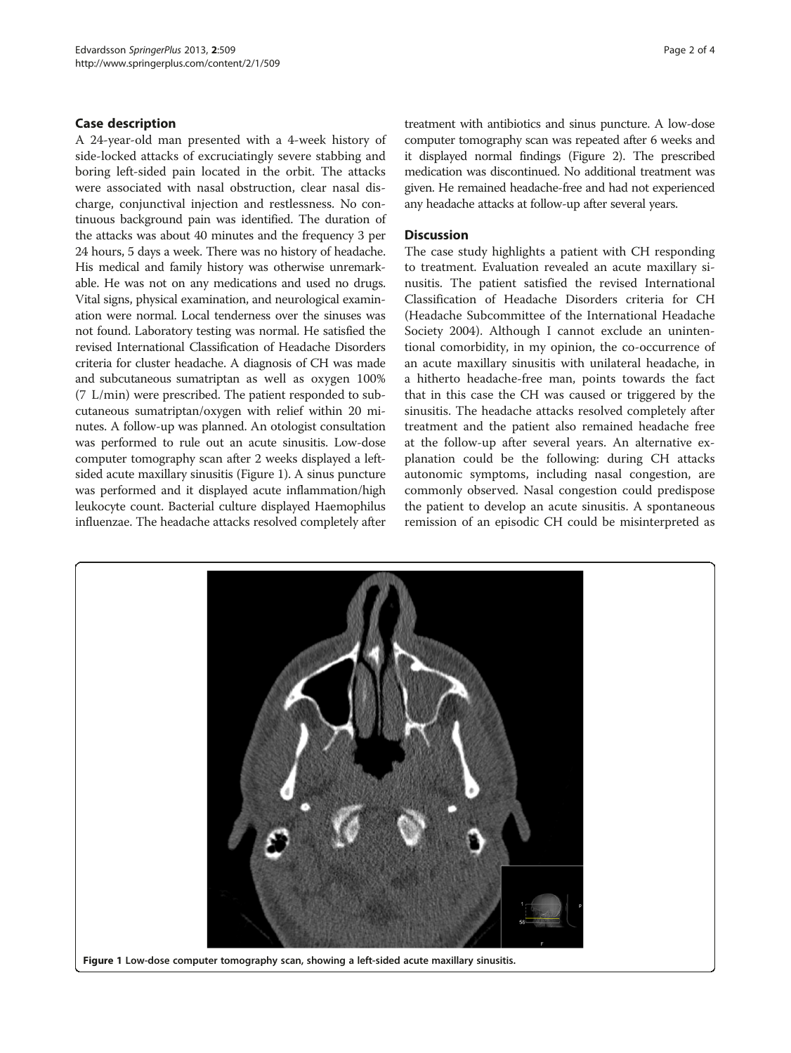#### Case description

A 24-year-old man presented with a 4-week history of side-locked attacks of excruciatingly severe stabbing and boring left-sided pain located in the orbit. The attacks were associated with nasal obstruction, clear nasal discharge, conjunctival injection and restlessness. No continuous background pain was identified. The duration of the attacks was about 40 minutes and the frequency 3 per 24 hours, 5 days a week. There was no history of headache. His medical and family history was otherwise unremarkable. He was not on any medications and used no drugs. Vital signs, physical examination, and neurological examination were normal. Local tenderness over the sinuses was not found. Laboratory testing was normal. He satisfied the revised International Classification of Headache Disorders criteria for cluster headache. A diagnosis of CH was made and subcutaneous sumatriptan as well as oxygen 100% (7 L/min) were prescribed. The patient responded to subcutaneous sumatriptan/oxygen with relief within 20 minutes. A follow-up was planned. An otologist consultation was performed to rule out an acute sinusitis. Low-dose computer tomography scan after 2 weeks displayed a leftsided acute maxillary sinusitis (Figure 1). A sinus puncture was performed and it displayed acute inflammation/high leukocyte count. Bacterial culture displayed Haemophilus influenzae. The headache attacks resolved completely after treatment with antibiotics and sinus puncture. A low-dose computer tomography scan was repeated after 6 weeks and it displayed normal findings (Figure [2](#page-2-0)). The prescribed medication was discontinued. No additional treatment was given. He remained headache-free and had not experienced any headache attacks at follow-up after several years.

#### **Discussion**

The case study highlights a patient with CH responding to treatment. Evaluation revealed an acute maxillary sinusitis. The patient satisfied the revised International Classification of Headache Disorders criteria for CH (Headache Subcommittee of the International Headache Society [2004](#page-3-0)). Although I cannot exclude an unintentional comorbidity, in my opinion, the co-occurrence of an acute maxillary sinusitis with unilateral headache, in a hitherto headache-free man, points towards the fact that in this case the CH was caused or triggered by the sinusitis. The headache attacks resolved completely after treatment and the patient also remained headache free at the follow-up after several years. An alternative explanation could be the following: during CH attacks autonomic symptoms, including nasal congestion, are commonly observed. Nasal congestion could predispose the patient to develop an acute sinusitis. A spontaneous remission of an episodic CH could be misinterpreted as



Figure 1 Low-dose computer tomography scan, showing a left-sided acute maxillary sinusitis.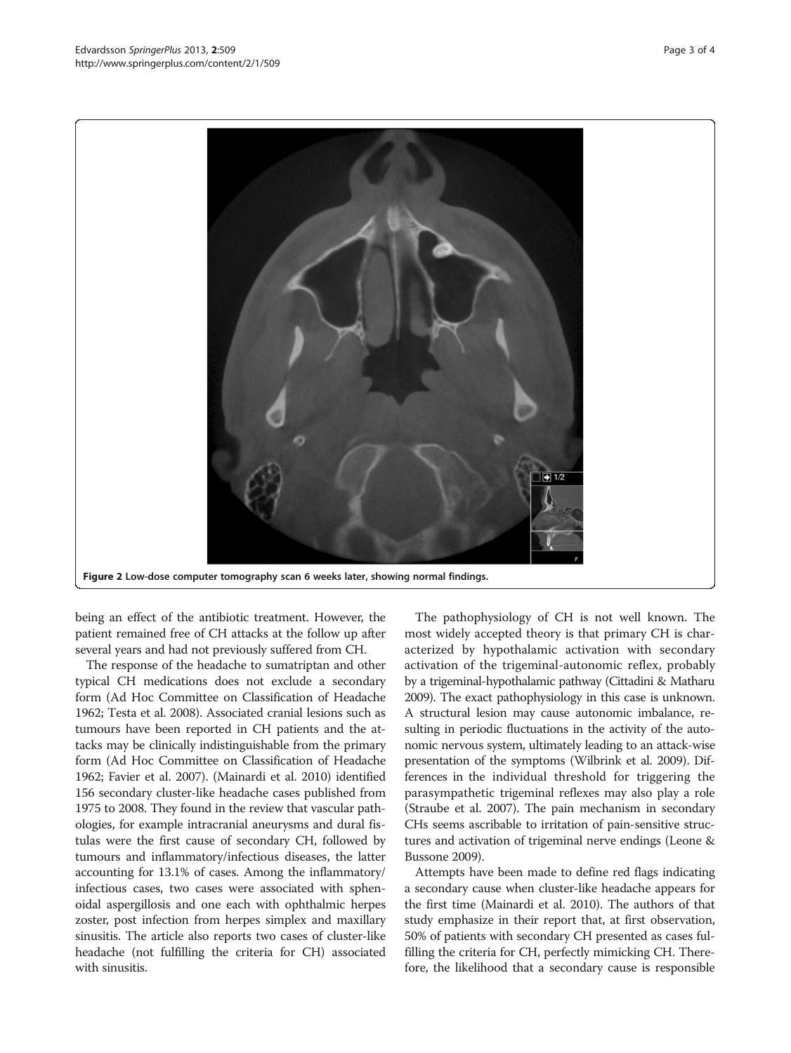<span id="page-2-0"></span>

being an effect of the antibiotic treatment. However, the patient remained free of CH attacks at the follow up after several years and had not previously suffered from CH.

The response of the headache to sumatriptan and other typical CH medications does not exclude a secondary form (Ad Hoc Committee on Classification of Headache [1962;](#page-3-0) Testa et al. [2008](#page-3-0)). Associated cranial lesions such as tumours have been reported in CH patients and the attacks may be clinically indistinguishable from the primary form (Ad Hoc Committee on Classification of Headache [1962;](#page-3-0) Favier et al. [2007\)](#page-3-0). (Mainardi et al. [2010](#page-3-0)) identified 156 secondary cluster-like headache cases published from 1975 to 2008. They found in the review that vascular pathologies, for example intracranial aneurysms and dural fistulas were the first cause of secondary CH, followed by tumours and inflammatory/infectious diseases, the latter accounting for 13.1% of cases. Among the inflammatory/ infectious cases, two cases were associated with sphenoidal aspergillosis and one each with ophthalmic herpes zoster, post infection from herpes simplex and maxillary sinusitis. The article also reports two cases of cluster-like headache (not fulfilling the criteria for CH) associated with sinusitis.

The pathophysiology of CH is not well known. The most widely accepted theory is that primary CH is characterized by hypothalamic activation with secondary activation of the trigeminal-autonomic reflex, probably by a trigeminal-hypothalamic pathway (Cittadini & Matharu [2009](#page-3-0)). The exact pathophysiology in this case is unknown. A structural lesion may cause autonomic imbalance, resulting in periodic fluctuations in the activity of the autonomic nervous system, ultimately leading to an attack-wise presentation of the symptoms (Wilbrink et al. [2009](#page-3-0)). Differences in the individual threshold for triggering the parasympathetic trigeminal reflexes may also play a role (Straube et al. [2007](#page-3-0)). The pain mechanism in secondary CHs seems ascribable to irritation of pain-sensitive structures and activation of trigeminal nerve endings (Leone & Bussone [2009\)](#page-3-0).

Attempts have been made to define red flags indicating a secondary cause when cluster-like headache appears for the first time (Mainardi et al. [2010\)](#page-3-0). The authors of that study emphasize in their report that, at first observation, 50% of patients with secondary CH presented as cases fulfilling the criteria for CH, perfectly mimicking CH. Therefore, the likelihood that a secondary cause is responsible